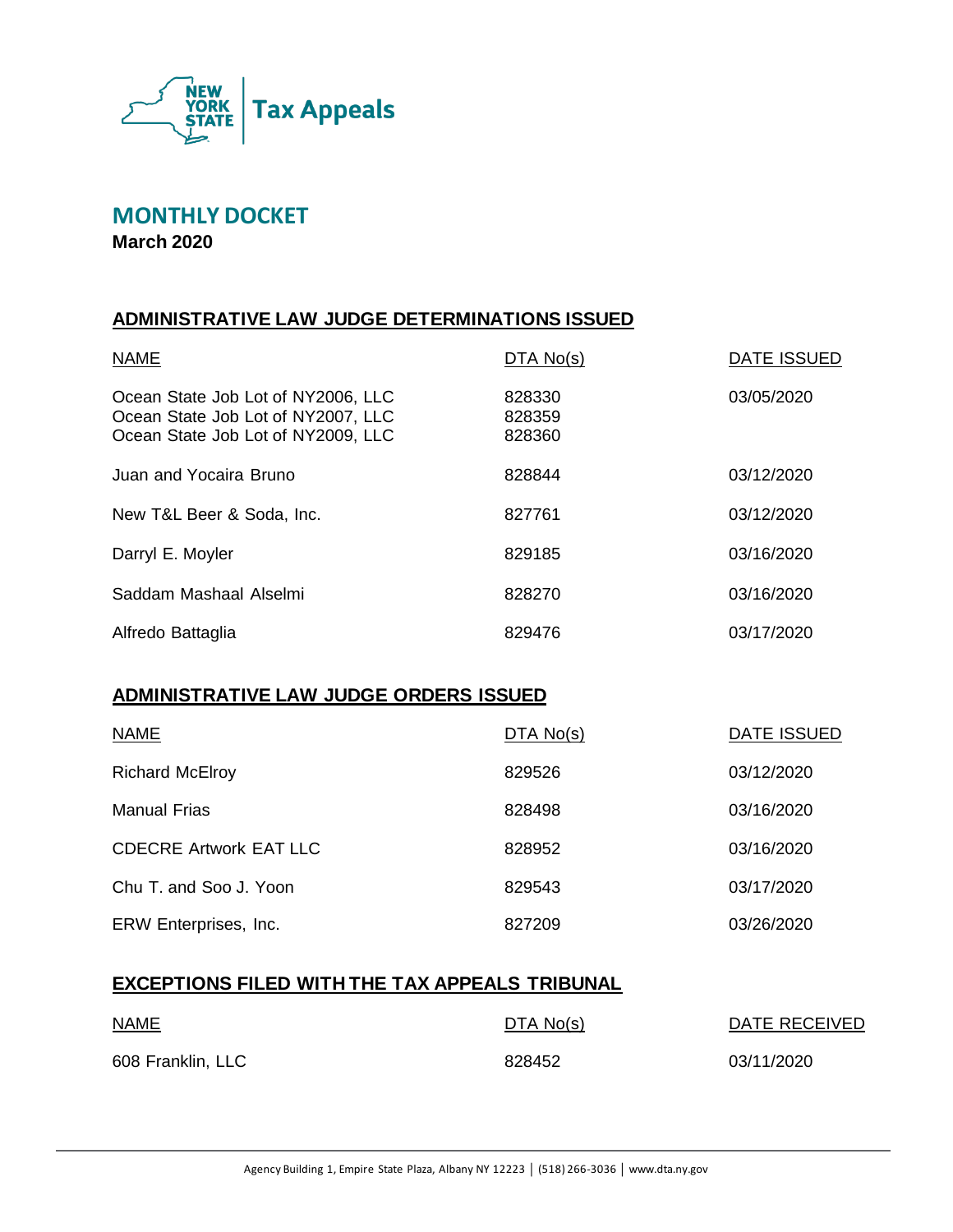

# **MONTHLY DOCKET**

**March 2020**

# **ADMINISTRATIVE LAW JUDGE DETERMINATIONS ISSUED**

| <b>NAME</b>                                                                                                    | DTA No(s)                  | <b>DATE ISSUED</b> |
|----------------------------------------------------------------------------------------------------------------|----------------------------|--------------------|
| Ocean State Job Lot of NY2006, LLC<br>Ocean State Job Lot of NY2007, LLC<br>Ocean State Job Lot of NY2009, LLC | 828330<br>828359<br>828360 | 03/05/2020         |
| Juan and Yocaira Bruno                                                                                         | 828844                     | 03/12/2020         |
| New T&L Beer & Soda, Inc.                                                                                      | 827761                     | 03/12/2020         |
| Darryl E. Moyler                                                                                               | 829185                     | 03/16/2020         |
| Saddam Mashaal Alselmi                                                                                         | 828270                     | 03/16/2020         |
| Alfredo Battaglia                                                                                              | 829476                     | 03/17/2020         |

### **ADMINISTRATIVE LAW JUDGE ORDERS ISSUED**

| <b>NAME</b>                   | DTA No(s) | DATE ISSUED |
|-------------------------------|-----------|-------------|
| <b>Richard McElroy</b>        | 829526    | 03/12/2020  |
| Manual Frias                  | 828498    | 03/16/2020  |
| <b>CDECRE Artwork EAT LLC</b> | 828952    | 03/16/2020  |
| Chu T. and Soo J. Yoon        | 829543    | 03/17/2020  |
| ERW Enterprises, Inc.         | 827209    | 03/26/2020  |

### **EXCEPTIONS FILED WITH THE TAX APPEALS TRIBUNAL**

| <b>NAME</b>       | DTA No(s) | DATE RECEIVED |
|-------------------|-----------|---------------|
| 608 Franklin, LLC | 828452    | 03/11/2020    |